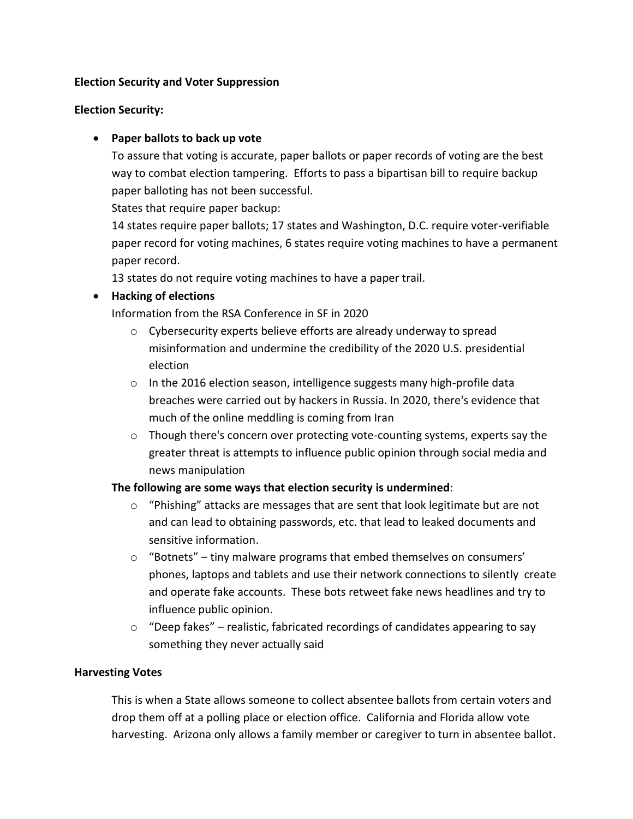### **Election Security and Voter Suppression**

## **Election Security:**

# • **Paper ballots to back up vote**

To assure that voting is accurate, paper ballots or paper records of voting are the best way to combat election tampering. Efforts to pass a bipartisan bill to require backup paper balloting has not been successful.

States that require paper backup:

14 states require paper ballots; 17 states and Washington, D.C. require voter-verifiable paper record for voting machines, 6 states require voting machines to have a permanent paper record.

13 states do not require voting machines to have a paper trail.

## • **Hacking of elections**

Information from the RSA Conference in SF in 2020

- o Cybersecurity experts believe efforts are already underway to spread misinformation and undermine the credibility of the 2020 U.S. presidential election
- o In the 2016 election season, intelligence suggests many high-profile data breaches were carried out by hackers in Russia. In 2020, there's evidence that much of the online meddling is coming from Iran
- $\circ$  Though there's concern over protecting vote-counting systems, experts say the greater threat is attempts to influence public opinion through social media and news manipulation

### **The following are some ways that election security is undermined**:

- $\circ$  "Phishing" attacks are messages that are sent that look legitimate but are not and can lead to obtaining passwords, etc. that lead to leaked documents and sensitive information.
- o "Botnets" tiny malware programs that embed themselves on consumers' phones, laptops and tablets and use their network connections to silently create and operate fake accounts. These bots retweet fake news headlines and try to influence public opinion.
- $\circ$  "Deep fakes" realistic, fabricated recordings of candidates appearing to say something they never actually said

### **Harvesting Votes**

This is when a State allows someone to collect absentee ballots from certain voters and drop them off at a polling place or election office. California and Florida allow vote harvesting. Arizona only allows a family member or caregiver to turn in absentee ballot.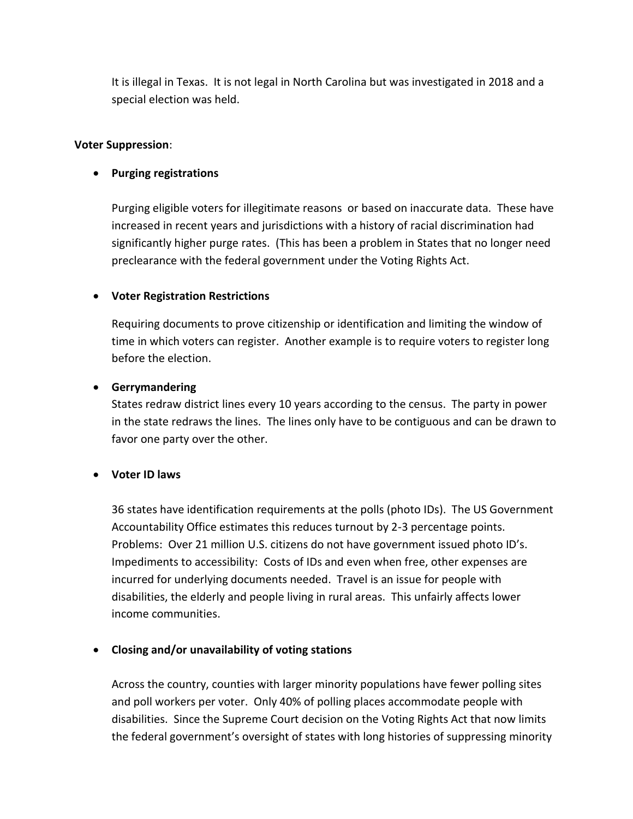It is illegal in Texas. It is not legal in North Carolina but was investigated in 2018 and a special election was held.

### **Voter Suppression**:

# • **Purging registrations**

Purging eligible voters for illegitimate reasons or based on inaccurate data. These have increased in recent years and jurisdictions with a history of racial discrimination had significantly higher purge rates. (This has been a problem in States that no longer need preclearance with the federal government under the Voting Rights Act.

## • **Voter Registration Restrictions**

Requiring documents to prove citizenship or identification and limiting the window of time in which voters can register. Another example is to require voters to register long before the election.

## • **Gerrymandering**

States redraw district lines every 10 years according to the census. The party in power in the state redraws the lines. The lines only have to be contiguous and can be drawn to favor one party over the other.

### • **Voter ID laws**

36 states have identification requirements at the polls (photo IDs). The US Government Accountability Office estimates this reduces turnout by 2-3 percentage points. Problems: Over 21 million U.S. citizens do not have government issued photo ID's. Impediments to accessibility: Costs of IDs and even when free, other expenses are incurred for underlying documents needed. Travel is an issue for people with disabilities, the elderly and people living in rural areas. This unfairly affects lower income communities.

# • **Closing and/or unavailability of voting stations**

Across the country, counties with larger minority populations have fewer polling sites and poll workers per voter. Only 40% of polling places accommodate people with disabilities. Since the Supreme Court decision on the Voting Rights Act that now limits the federal government's oversight of states with long histories of suppressing minority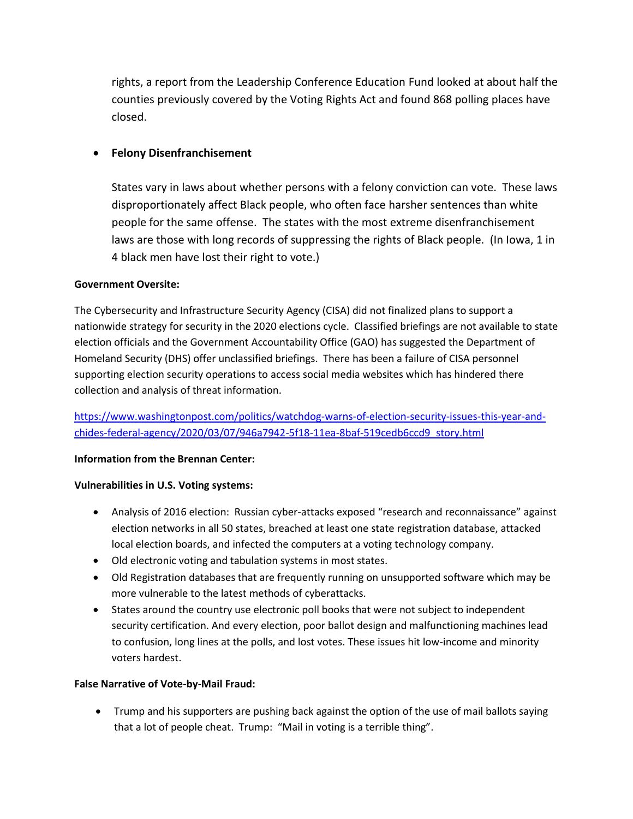rights, a report from the Leadership Conference Education Fund looked at about half the counties previously covered by the Voting Rights Act and found 868 polling places have closed.

## • **Felony Disenfranchisement**

States vary in laws about whether persons with a felony conviction can vote. These laws disproportionately affect Black people, who often face harsher sentences than white people for the same offense. The states with the most extreme disenfranchisement laws are those with long records of suppressing the rights of Black people. (In Iowa, 1 in 4 black men have lost their right to vote.)

### **Government Oversite:**

The Cybersecurity and Infrastructure Security Agency (CISA) did not finalized plans to support a nationwide strategy for security in the 2020 elections cycle. Classified briefings are not available to state election officials and the Government Accountability Office (GAO) has suggested the Department of Homeland Security (DHS) offer unclassified briefings. There has been a failure of CISA personnel supporting election security operations to access social media websites which has hindered there collection and analysis of threat information.

[https://www.washingtonpost.com/politics/watchdog-warns-of-election-security-issues-this-year-and](https://www.washingtonpost.com/politics/watchdog-warns-of-election-security-issues-this-year-and-chides-federal-agency/2020/03/07/946a7942-5f18-11ea-8baf-519cedb6ccd9_story.html)[chides-federal-agency/2020/03/07/946a7942-5f18-11ea-8baf-519cedb6ccd9\\_story.html](https://www.washingtonpost.com/politics/watchdog-warns-of-election-security-issues-this-year-and-chides-federal-agency/2020/03/07/946a7942-5f18-11ea-8baf-519cedb6ccd9_story.html)

#### **Information from the Brennan Center:**

#### **Vulnerabilities in U.S. Voting systems:**

- Analysis of 2016 election: Russian cyber-attacks exposed "research and reconnaissance" against election networks in all 50 states, breached at least one state registration database, attacked local election boards, and infected the computers at a voting technology company.
- Old electronic voting and tabulation systems in most states.
- Old Registration databases that are frequently running on unsupported software which may be more vulnerable to the latest methods of cyberattacks.
- States around the country use electronic poll books that were not subject to independent security certification. And every election, poor ballot design and malfunctioning machines lead to confusion, long lines at the polls, and lost votes. These issues hit low-income and minority voters hardest.

#### **False Narrative of Vote-by-Mail Fraud:**

• Trump and his supporters are pushing back against the option of the use of mail ballots saying that a lot of people cheat. Trump: "Mail in voting is a terrible thing".